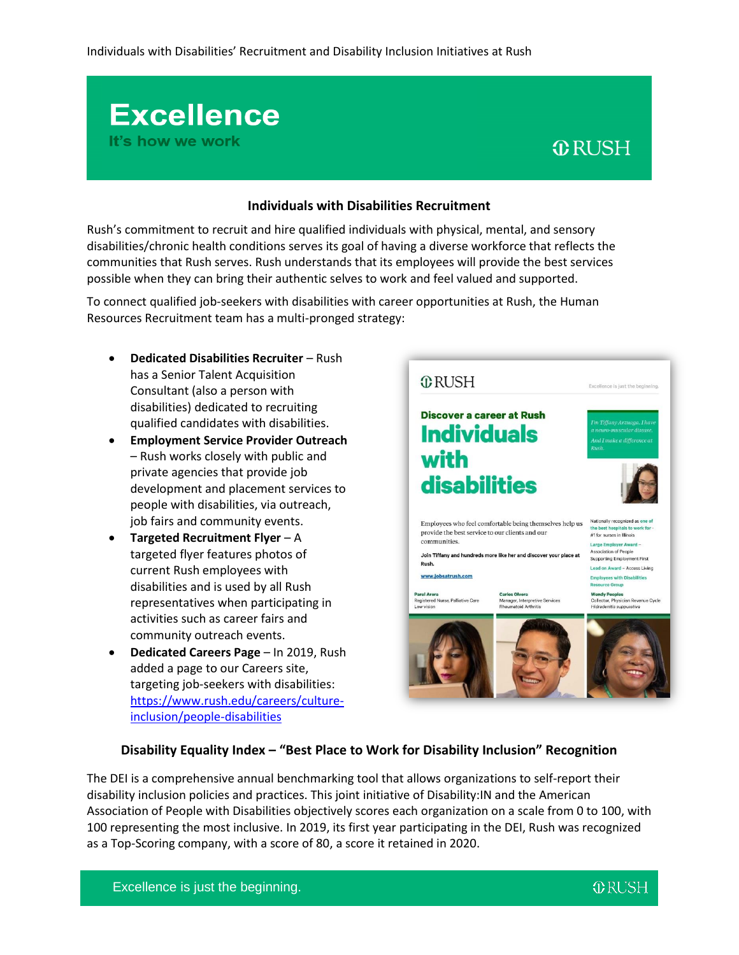# **Individuals with Disabilities Recruitment**

Rush's commitment to recruit and hire qualified individuals with physical, mental, and sensory disabilities/chronic health conditions serves its goal of having a diverse workforce that reflects the communities that Rush serves. Rush understands that its employees will provide the best services possible when they can bring their authentic selves to work and feel valued and supported.

To connect qualified job-seekers with disabilities with career opportunities at Rush, the Human Resources Recruitment team has a multi-pronged strategy:

 **Dedicated Disabilities Recruiter** – Rush has a Senior Talent Acquisition Consultant (also a person with disabilities) dedicated to recruiting qualified candidates with disabilities.

**Excellence** 

It's how we work

- **Employment Service Provider Outreach** – Rush works closely with public and private agencies that provide job development and placement services to people with disabilities, via outreach, job fairs and community events.
- **Targeted Recruitment Flyer** A targeted flyer features photos of current Rush employees with disabilities and is used by all Rush representatives when participating in activities such as career fairs and community outreach events.
- **Dedicated Careers Page** In 2019, Rush added a page to our Careers site, targeting job-seekers with disabilities: [https://www.rush.edu/careers/culture](https://www.rush.edu/careers/culture-inclusion/people-disabilities)[inclusion/people-disabilities](https://www.rush.edu/careers/culture-inclusion/people-disabilities)



**ORUSH** 

### **Disability Equality Index – "Best Place to Work for Disability Inclusion" Recognition**

The DEI is a comprehensive annual benchmarking tool that allows organizations to self-report their disability inclusion policies and practices. This joint initiative of Disability:IN and the American Association of People with Disabilities objectively scores each organization on a scale from 0 to 100, with 100 representing the most inclusive. In 2019, its first year participating in the DEI, Rush was recognized as a Top-Scoring company, with a score of 80, a score it retained in 2020.